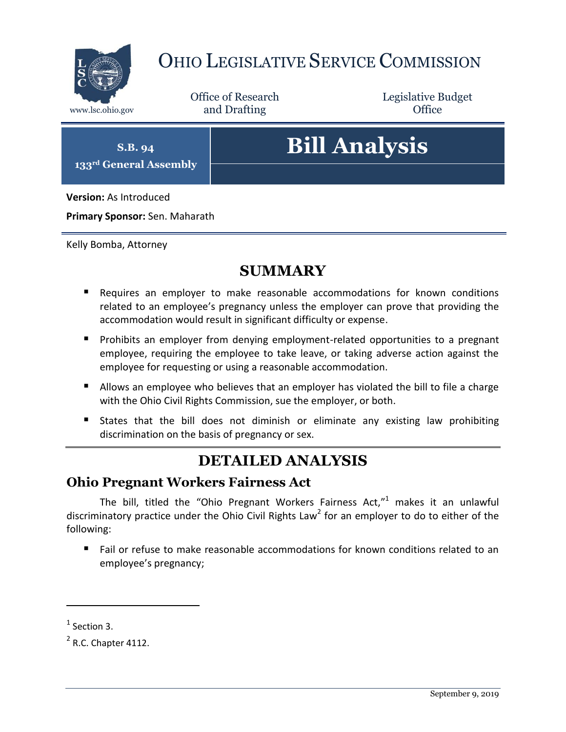

## OHIO LEGISLATIVE SERVICE COMMISSION

Office of Research www.lsc.ohio.gov and Drafting Control Control of Control Control Office

Legislative Budget

**S.B. 94 133rd General Assembly**

# **Bill Analysis**

**Version:** As Introduced

**Primary Sponsor:** Sen. Maharath

Kelly Bomba, Attorney

## **SUMMARY**

- Requires an employer to make reasonable accommodations for known conditions related to an employee's pregnancy unless the employer can prove that providing the accommodation would result in significant difficulty or expense.
- **Prohibits an employer from denying employment-related opportunities to a pregnant** employee, requiring the employee to take leave, or taking adverse action against the employee for requesting or using a reasonable accommodation.
- Allows an employee who believes that an employer has violated the bill to file a charge with the Ohio Civil Rights Commission, sue the employer, or both.
- States that the bill does not diminish or eliminate any existing law prohibiting discrimination on the basis of pregnancy or sex.

## **DETAILED ANALYSIS**

#### **Ohio Pregnant Workers Fairness Act**

The bill, titled the "Ohio Pregnant Workers Fairness Act,"<sup>1</sup> makes it an unlawful discriminatory practice under the Ohio Civil Rights Law<sup>2</sup> for an employer to do to either of the following:

 Fail or refuse to make reasonable accommodations for known conditions related to an employee's pregnancy;

 $\overline{a}$ 

 $<sup>1</sup>$  Section 3.</sup>

 $<sup>2</sup>$  R.C. Chapter 4112.</sup>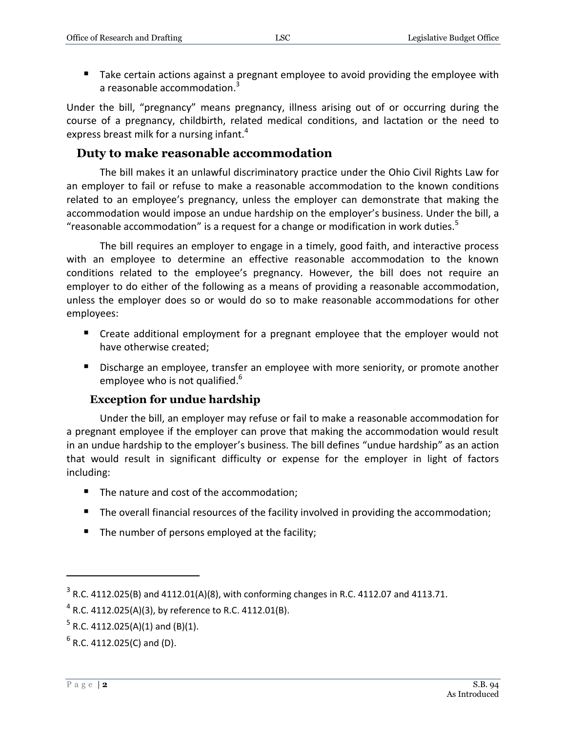Take certain actions against a pregnant employee to avoid providing the employee with a reasonable accommodation. $3$ 

Under the bill, "pregnancy" means pregnancy, illness arising out of or occurring during the course of a pregnancy, childbirth, related medical conditions, and lactation or the need to express breast milk for a nursing infant.<sup>4</sup>

#### **Duty to make reasonable accommodation**

The bill makes it an unlawful discriminatory practice under the Ohio Civil Rights Law for an employer to fail or refuse to make a reasonable accommodation to the known conditions related to an employee's pregnancy, unless the employer can demonstrate that making the accommodation would impose an undue hardship on the employer's business. Under the bill, a "reasonable accommodation" is a request for a change or modification in work duties. $5$ 

The bill requires an employer to engage in a timely, good faith, and interactive process with an employee to determine an effective reasonable accommodation to the known conditions related to the employee's pregnancy. However, the bill does not require an employer to do either of the following as a means of providing a reasonable accommodation, unless the employer does so or would do so to make reasonable accommodations for other employees:

- Create additional employment for a pregnant employee that the employer would not have otherwise created;
- Discharge an employee, transfer an employee with more seniority, or promote another employee who is not qualified.<sup>6</sup>

#### **Exception for undue hardship**

Under the bill, an employer may refuse or fail to make a reasonable accommodation for a pregnant employee if the employer can prove that making the accommodation would result in an undue hardship to the employer's business. The bill defines "undue hardship" as an action that would result in significant difficulty or expense for the employer in light of factors including:

- The nature and cost of the accommodation;
- The overall financial resources of the facility involved in providing the accommodation;
- The number of persons employed at the facility;

 $\overline{a}$ 

 $3$  R.C. 4112.025(B) and 4112.01(A)(8), with conforming changes in R.C. 4112.07 and 4113.71.

 $^4$  R.C. 4112.025(A)(3), by reference to R.C. 4112.01(B).

 $5$  R.C. 4112.025(A)(1) and (B)(1).

 $<sup>6</sup>$  R.C. 4112.025(C) and (D).</sup>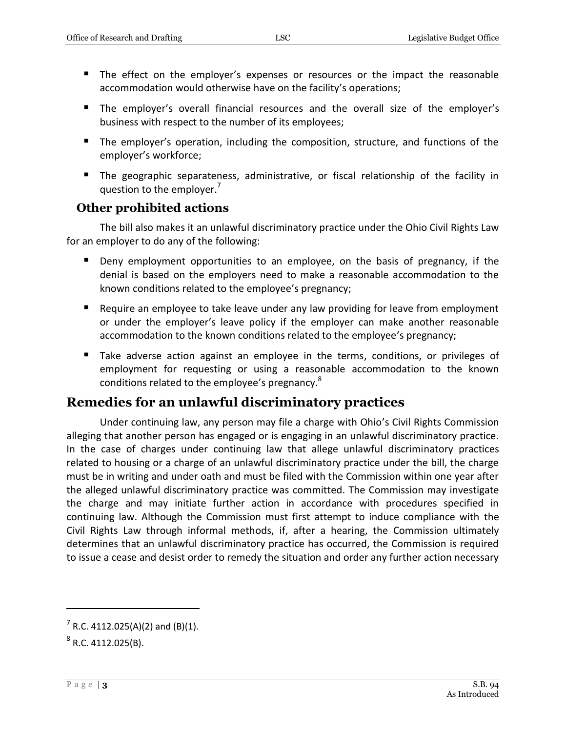- The effect on the employer's expenses or resources or the impact the reasonable accommodation would otherwise have on the facility's operations;
- The employer's overall financial resources and the overall size of the employer's business with respect to the number of its employees;
- **The employer's operation, including the composition, structure, and functions of the** employer's workforce;
- The geographic separateness, administrative, or fiscal relationship of the facility in question to the employer.<sup>7</sup>

#### **Other prohibited actions**

The bill also makes it an unlawful discriminatory practice under the Ohio Civil Rights Law for an employer to do any of the following:

- **Deny employment opportunities to an employee, on the basis of pregnancy, if the** denial is based on the employers need to make a reasonable accommodation to the known conditions related to the employee's pregnancy;
- Require an employee to take leave under any law providing for leave from employment or under the employer's leave policy if the employer can make another reasonable accommodation to the known conditions related to the employee's pregnancy;
- Take adverse action against an employee in the terms, conditions, or privileges of employment for requesting or using a reasonable accommodation to the known conditions related to the employee's pregnancy.<sup>8</sup>

#### **Remedies for an unlawful discriminatory practices**

Under continuing law, any person may file a charge with Ohio's Civil Rights Commission alleging that another person has engaged or is engaging in an unlawful discriminatory practice. In the case of charges under continuing law that allege unlawful discriminatory practices related to housing or a charge of an unlawful discriminatory practice under the bill, the charge must be in writing and under oath and must be filed with the Commission within one year after the alleged unlawful discriminatory practice was committed. The Commission may investigate the charge and may initiate further action in accordance with procedures specified in continuing law. Although the Commission must first attempt to induce compliance with the Civil Rights Law through informal methods, if, after a hearing, the Commission ultimately determines that an unlawful discriminatory practice has occurred, the Commission is required to issue a cease and desist order to remedy the situation and order any further action necessary

 $\overline{a}$ 

 $7$  R.C. 4112.025(A)(2) and (B)(1).

 $^8$  R.C. 4112.025(B).